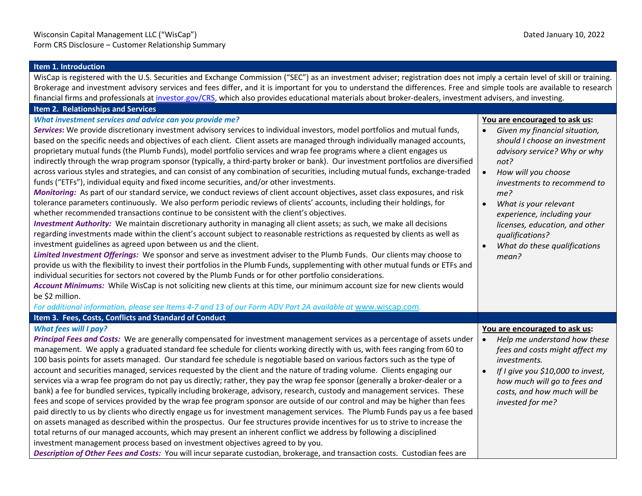| Item 1. Introduction                                                                                                                                                                                                                                                                                                                                                                                                                                                                                                                                                                                                                                                                                                                                                                                                                                                                                                                                                                                                                                                                                                                                                                                                                                                                                                                                                                                                                                                                                                                                                                                                                                                                                                                                                                                                                                                                                                                                                                                                            |                                                                                                                                                                                                                                                                                                                                                                                                  |  |
|---------------------------------------------------------------------------------------------------------------------------------------------------------------------------------------------------------------------------------------------------------------------------------------------------------------------------------------------------------------------------------------------------------------------------------------------------------------------------------------------------------------------------------------------------------------------------------------------------------------------------------------------------------------------------------------------------------------------------------------------------------------------------------------------------------------------------------------------------------------------------------------------------------------------------------------------------------------------------------------------------------------------------------------------------------------------------------------------------------------------------------------------------------------------------------------------------------------------------------------------------------------------------------------------------------------------------------------------------------------------------------------------------------------------------------------------------------------------------------------------------------------------------------------------------------------------------------------------------------------------------------------------------------------------------------------------------------------------------------------------------------------------------------------------------------------------------------------------------------------------------------------------------------------------------------------------------------------------------------------------------------------------------------|--------------------------------------------------------------------------------------------------------------------------------------------------------------------------------------------------------------------------------------------------------------------------------------------------------------------------------------------------------------------------------------------------|--|
| WisCap is registered with the U.S. Securities and Exchange Commission ("SEC") as an investment adviser; registration does not imply a certain level of skill or training.                                                                                                                                                                                                                                                                                                                                                                                                                                                                                                                                                                                                                                                                                                                                                                                                                                                                                                                                                                                                                                                                                                                                                                                                                                                                                                                                                                                                                                                                                                                                                                                                                                                                                                                                                                                                                                                       |                                                                                                                                                                                                                                                                                                                                                                                                  |  |
| Brokerage and investment advisory services and fees differ, and it is important for you to understand the differences. Free and simple tools are available to research                                                                                                                                                                                                                                                                                                                                                                                                                                                                                                                                                                                                                                                                                                                                                                                                                                                                                                                                                                                                                                                                                                                                                                                                                                                                                                                                                                                                                                                                                                                                                                                                                                                                                                                                                                                                                                                          |                                                                                                                                                                                                                                                                                                                                                                                                  |  |
| financial firms and professionals at investor.gov/CRS, which also provides educational materials about broker-dealers, investment advisers, and investing.                                                                                                                                                                                                                                                                                                                                                                                                                                                                                                                                                                                                                                                                                                                                                                                                                                                                                                                                                                                                                                                                                                                                                                                                                                                                                                                                                                                                                                                                                                                                                                                                                                                                                                                                                                                                                                                                      |                                                                                                                                                                                                                                                                                                                                                                                                  |  |
| Item 2. Relationships and Services                                                                                                                                                                                                                                                                                                                                                                                                                                                                                                                                                                                                                                                                                                                                                                                                                                                                                                                                                                                                                                                                                                                                                                                                                                                                                                                                                                                                                                                                                                                                                                                                                                                                                                                                                                                                                                                                                                                                                                                              |                                                                                                                                                                                                                                                                                                                                                                                                  |  |
| What investment services and advice can you provide me?<br>Services: We provide discretionary investment advisory services to individual investors, model portfolios and mutual funds,<br>based on the specific needs and objectives of each client. Client assets are managed through individually managed accounts,<br>proprietary mutual funds (the Plumb Funds), model portfolio services and wrap fee programs where a client engages us<br>indirectly through the wrap program sponsor (typically, a third-party broker or bank). Our investment portfolios are diversified<br>across various styles and strategies, and can consist of any combination of securities, including mutual funds, exchange-traded<br>funds ("ETFs"), individual equity and fixed income securities, and/or other investments.<br>Monitoring: As part of our standard service, we conduct reviews of client account objectives, asset class exposures, and risk<br>tolerance parameters continuously. We also perform periodic reviews of clients' accounts, including their holdings, for<br>whether recommended transactions continue to be consistent with the client's objectives.<br>Investment Authority: We maintain discretionary authority in managing all client assets; as such, we make all decisions<br>regarding investments made within the client's account subject to reasonable restrictions as requested by clients as well as<br>investment guidelines as agreed upon between us and the client.<br>Limited Investment Offerings: We sponsor and serve as investment adviser to the Plumb Funds. Our clients may choose to<br>provide us with the flexibility to invest their portfolios in the Plumb Funds, supplementing with other mutual funds or ETFs and<br>individual securities for sectors not covered by the Plumb Funds or for other portfolio considerations.<br>Account Minimums: While WisCap is not soliciting new clients at this time, our minimum account size for new clients would<br>be \$2 million. | You are encouraged to ask us:<br>$\bullet$<br>Given my financial situation,<br>should I choose an investment<br>advisory service? Why or why<br>not?<br>$\bullet$<br>How will you choose<br>investments to recommend to<br>me?<br>$\bullet$<br>What is your relevant<br>experience, including your<br>licenses, education, and other<br>qualifications?<br>What do these qualifications<br>mean? |  |
| For additional information, please see Items 4-7 and 13 of our Form ADV Part 2A available at www.wiscap.com.                                                                                                                                                                                                                                                                                                                                                                                                                                                                                                                                                                                                                                                                                                                                                                                                                                                                                                                                                                                                                                                                                                                                                                                                                                                                                                                                                                                                                                                                                                                                                                                                                                                                                                                                                                                                                                                                                                                    |                                                                                                                                                                                                                                                                                                                                                                                                  |  |
| Item 3. Fees, Costs, Conflicts and Standard of Conduct                                                                                                                                                                                                                                                                                                                                                                                                                                                                                                                                                                                                                                                                                                                                                                                                                                                                                                                                                                                                                                                                                                                                                                                                                                                                                                                                                                                                                                                                                                                                                                                                                                                                                                                                                                                                                                                                                                                                                                          |                                                                                                                                                                                                                                                                                                                                                                                                  |  |
| <b>What fees will I pay?</b><br>Principal Fees and Costs: We are generally compensated for investment management services as a percentage of assets under<br>management. We apply a graduated standard fee schedule for clients working directly with us, with fees ranging from 60 to<br>100 basis points for assets managed. Our standard fee schedule is negotiable based on various factors such as the type of<br>account and securities managed, services requested by the client and the nature of trading volume. Clients engaging our<br>services via a wrap fee program do not pay us directly; rather, they pay the wrap fee sponsor (generally a broker-dealer or a<br>bank) a fee for bundled services, typically including brokerage, advisory, research, custody and management services. These<br>fees and scope of services provided by the wrap fee program sponsor are outside of our control and may be higher than fees<br>paid directly to us by clients who directly engage us for investment management services. The Plumb Funds pay us a fee based<br>on assets managed as described within the prospectus. Our fee structures provide incentives for us to strive to increase the<br>total returns of our managed accounts, which may present an inherent conflict we address by following a disciplined<br>investment management process based on investment objectives agreed to by you.<br>Description of Other Fees and Costs: You will incur separate custodian, brokerage, and transaction costs. Custodian fees are                                                                                                                                                                                                                                                                                                                                                                                                                                                                           | You are encouraged to ask us:<br>Help me understand how these<br>$\bullet$<br>fees and costs might affect my<br>investments.<br>If I give you \$10,000 to invest,<br>$\bullet$<br>how much will go to fees and<br>costs, and how much will be<br>invested for me?                                                                                                                                |  |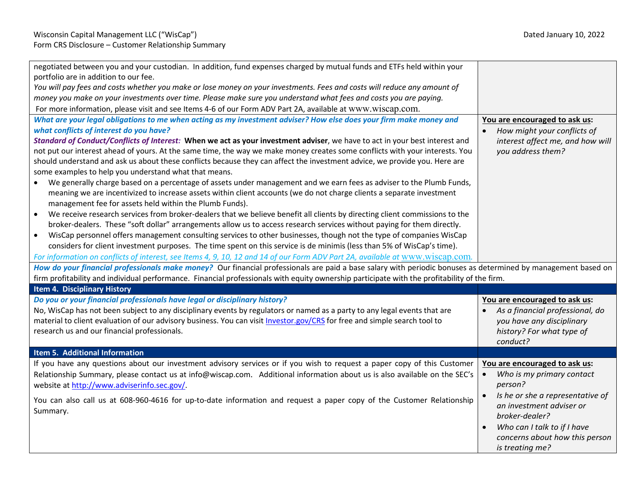| negotiated between you and your custodian. In addition, fund expenses charged by mutual funds and ETFs held within your<br>portfolio are in addition to our fee.<br>You will pay fees and costs whether you make or lose money on your investments. Fees and costs will reduce any amount of<br>money you make on your investments over time. Please make sure you understand what fees and costs you are paying.<br>For more information, please visit and see Items 4-6 of our Form ADV Part 2A, available at www.wiscap.com.                                                                                                                                                                                                                                                                                                                                                                                                                                                                                                                                                                                                                                                                                                                                                                                                                                                                                                                                                                                                                                                                        |                                                                                                                       |
|--------------------------------------------------------------------------------------------------------------------------------------------------------------------------------------------------------------------------------------------------------------------------------------------------------------------------------------------------------------------------------------------------------------------------------------------------------------------------------------------------------------------------------------------------------------------------------------------------------------------------------------------------------------------------------------------------------------------------------------------------------------------------------------------------------------------------------------------------------------------------------------------------------------------------------------------------------------------------------------------------------------------------------------------------------------------------------------------------------------------------------------------------------------------------------------------------------------------------------------------------------------------------------------------------------------------------------------------------------------------------------------------------------------------------------------------------------------------------------------------------------------------------------------------------------------------------------------------------------|-----------------------------------------------------------------------------------------------------------------------|
| What are your legal obligations to me when acting as my investment adviser? How else does your firm make money and<br>what conflicts of interest do you have?<br>Standard of Conduct/Conflicts of Interest: When we act as your investment adviser, we have to act in your best interest and<br>not put our interest ahead of yours. At the same time, the way we make money creates some conflicts with your interests. You<br>should understand and ask us about these conflicts because they can affect the investment advice, we provide you. Here are<br>some examples to help you understand what that means.<br>We generally charge based on a percentage of assets under management and we earn fees as adviser to the Plumb Funds,<br>meaning we are incentivized to increase assets within client accounts (we do not charge clients a separate investment<br>management fee for assets held within the Plumb Funds).<br>We receive research services from broker-dealers that we believe benefit all clients by directing client commissions to the<br>$\bullet$<br>broker-dealers. These "soft dollar" arrangements allow us to access research services without paying for them directly.<br>WisCap personnel offers management consulting services to other businesses, though not the type of companies WisCap<br>$\bullet$<br>considers for client investment purposes. The time spent on this service is de minimis (less than 5% of WisCap's time).<br>For information on conflicts of interest, see Items 4, 9, 10, 12 and 14 of our Form ADV Part 2A, available at www.wiscap.com. | You are encouraged to ask us:<br>How might your conflicts of<br>interest affect me, and how will<br>you address them? |
| How do your financial professionals make money? Our financial professionals are paid a base salary with periodic bonuses as determined by management based on<br>firm profitability and individual performance. Financial professionals with equity ownership participate with the profitability of the firm.                                                                                                                                                                                                                                                                                                                                                                                                                                                                                                                                                                                                                                                                                                                                                                                                                                                                                                                                                                                                                                                                                                                                                                                                                                                                                          |                                                                                                                       |
| Item 4. Disciplinary History                                                                                                                                                                                                                                                                                                                                                                                                                                                                                                                                                                                                                                                                                                                                                                                                                                                                                                                                                                                                                                                                                                                                                                                                                                                                                                                                                                                                                                                                                                                                                                           |                                                                                                                       |
| Do you or your financial professionals have legal or disciplinary history?<br>No, WisCap has not been subject to any disciplinary events by regulators or named as a party to any legal events that are                                                                                                                                                                                                                                                                                                                                                                                                                                                                                                                                                                                                                                                                                                                                                                                                                                                                                                                                                                                                                                                                                                                                                                                                                                                                                                                                                                                                | You are encouraged to ask us:                                                                                         |
| material to client evaluation of our advisory business. You can visit Investor.gov/CRS for free and simple search tool to<br>research us and our financial professionals.                                                                                                                                                                                                                                                                                                                                                                                                                                                                                                                                                                                                                                                                                                                                                                                                                                                                                                                                                                                                                                                                                                                                                                                                                                                                                                                                                                                                                              | As a financial professional, do<br>you have any disciplinary<br>history? For what type of<br>conduct?                 |
| Item 5. Additional Information<br>If you have any questions about our investment advisory services or if you wish to request a paper copy of this Customer                                                                                                                                                                                                                                                                                                                                                                                                                                                                                                                                                                                                                                                                                                                                                                                                                                                                                                                                                                                                                                                                                                                                                                                                                                                                                                                                                                                                                                             |                                                                                                                       |